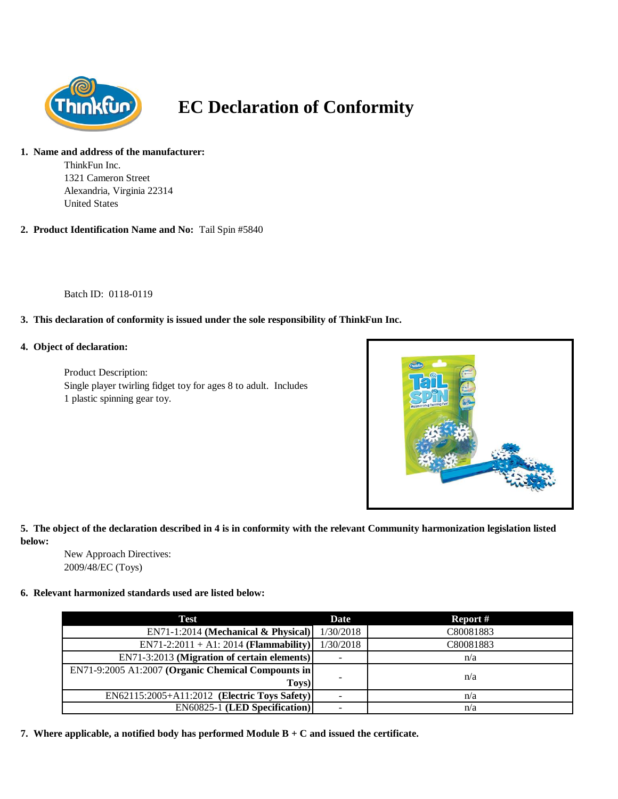

# **EC Declaration of Conformity**

## **1. Name and address of the manufacturer:**

ThinkFun Inc. 1321 Cameron Street Alexandria, Virginia 22314 United States

### **2. Product Identification Name and No:** Tail Spin #5840

Batch ID: 0118-0119

## **3. This declaration of conformity is issued under the sole responsibility of ThinkFun Inc.**

#### **4. Object of declaration:**

Product Description: Single player twirling fidget toy for ages 8 to adult. Includes 1 plastic spinning gear toy.



## **5. The object of the declaration described in 4 is in conformity with the relevant Community harmonization legislation listed below:**

New Approach Directives: 2009/48/EC (Toys)

#### **6. Relevant harmonized standards used are listed below:**

| Test                                               | Date                     | Report #  |
|----------------------------------------------------|--------------------------|-----------|
| $EN71-1:2014$ (Mechanical & Physical)              | 1/30/2018                | C80081883 |
| $EN71-2:2011 + A1:2014 (Flammaibility)$            | 1/30/2018                | C80081883 |
| EN71-3:2013 (Migration of certain elements)        |                          | n/a       |
| EN71-9:2005 A1:2007 (Organic Chemical Compounts in |                          |           |
| Toys)                                              | $\overline{\phantom{0}}$ | n/a       |
| EN62115:2005+A11:2012 (Electric Toys Safety)       |                          | n/a       |
| <b>EN60825-1 (LED Specification)</b>               |                          | n/a       |

**7. Where applicable, a notified body has performed Module B + C and issued the certificate.**